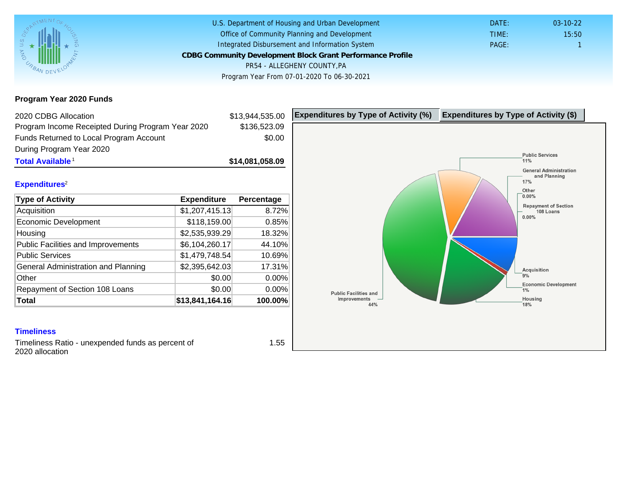Program Year 2020 Funds

| 2020 CDBG Allocation                              |                 | \$13,944,535.00 | Expenditures by Type of Activity (%) | Expenditure |
|---------------------------------------------------|-----------------|-----------------|--------------------------------------|-------------|
| Program Income Receipted During Program Year 2020 |                 | \$136,523.09    |                                      |             |
| Funds Returned to Local Program Account           |                 | \$0.00          |                                      |             |
| During Program Year 2020                          |                 |                 |                                      |             |
| Total Available <sup>1</sup>                      |                 | \$14,081,058.09 |                                      |             |
| Expenditures <sup>2</sup>                         |                 |                 |                                      |             |
| Type of Activity                                  | Expenditure     | Percentage      |                                      |             |
| Acquisition                                       | \$1,207,415.13  | 8.72%           |                                      |             |
| Economic Development                              | \$118,159.00    | 0.85%           |                                      |             |
| Housing                                           | \$2,535,939.29  | 18.32%          |                                      |             |
| <b>Public Facilities and Improvements</b>         | \$6,104,260.17  | 44.10%          |                                      |             |
| <b>Public Services</b>                            | \$1,479,748.54  | 10.69%          |                                      |             |
| General Administration and Planning               | \$2,395,642.03  | 17.31%          |                                      |             |
| Other                                             | \$0.00          | 0.00%           |                                      |             |
| Repayment of Section 108 Loans                    | \$0.00          | 0.00%           |                                      |             |
| Total                                             | \$13,841,164.16 | 100.00%         |                                      |             |

### **Timeliness**

Timeliness Ratio - unexpended funds as percent of 2020 allocation

1.55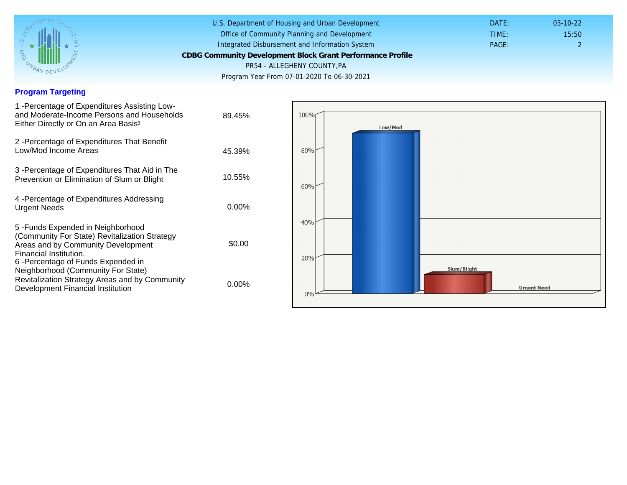## Program Targeting

| 1 - Percentage of Expenditures Assisting Low-<br>and Moderate-Income Persons and Households<br>Either Directly or On an Area Basis <sup>3</sup>                                                                              | 89.45%   |
|------------------------------------------------------------------------------------------------------------------------------------------------------------------------------------------------------------------------------|----------|
| 2 - Percentage of Expenditures That Benefit<br>Low/Mod Income Areas                                                                                                                                                          | 45.39%   |
| 3 -Percentage of Expenditures That Aid in The<br>Prevention or Elimination of Slum or Blight                                                                                                                                 | 10.55%   |
| 4 - Percentage of Expenditures Addressing<br><b>Urgent Needs</b>                                                                                                                                                             | $0.00\%$ |
| 5-Funds Expended in Neighborhood<br>(Community For State) Revitalization Strategy<br>Areas and by Community Development<br>Financial Institution.<br>6-Percentage of Funds Expended in<br>Neighborhood (Community For State) | \$0.00   |
| Revitalization Strategy Areas and by Community<br>Development Financial Institution                                                                                                                                          | $0.00\%$ |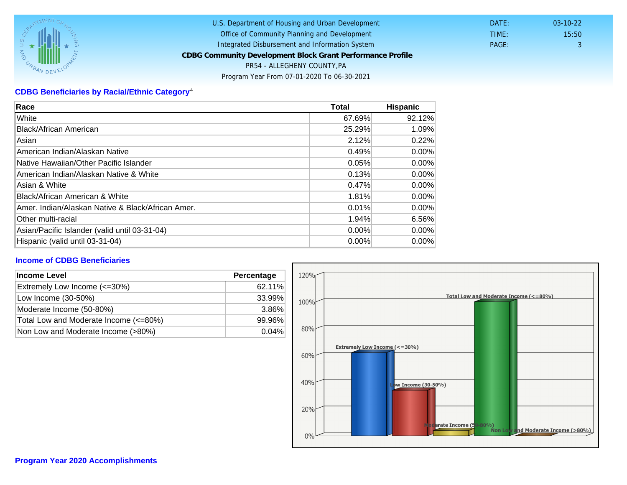# CDBG Beneficiaries by Racial/Ethnic Category <sup>4</sup>

| Race                                              | Total    | Hispanic |
|---------------------------------------------------|----------|----------|
| White                                             | 67.69%   | 92.12%   |
| Black/African American                            | 25.29%   | 1.09%    |
| Asian                                             | 2.12%    | 0.22%    |
| American Indian/Alaskan Native                    | 0.49%    | $0.00\%$ |
| lNative Hawaiian/Other Pacific Islander           | 0.05%    | $0.00\%$ |
| American Indian/Alaskan Native & White            | 0.13%    | $0.00\%$ |
| Asian & White                                     | 0.47%    | 0.00%    |
| Black/African American & White                    | 1.81%    | 0.00%    |
| Amer. Indian/Alaskan Native & Black/African Amer. | 0.01%    | $0.00\%$ |
| <b>Other multi-racial</b>                         | 1.94%    | 6.56%    |
| Asian/Pacific Islander (valid until 03-31-04)     | $0.00\%$ | $0.00\%$ |
| Hispanic (valid until 03-31-04)                   | 0.00%    | 0.00%    |

## Income of CDBG Beneficiaries

| Income Level                          | Percentage |
|---------------------------------------|------------|
| Extremely Low Income (<=30%)          | 62.11%     |
| Low Income (30-50%)                   | 33.99%     |
| Moderate Income (50-80%)              | 3.86%      |
| Total Low and Moderate Income (<=80%) | 99.96%     |
| Non Low and Moderate Income (>80%)    | 0.04%      |